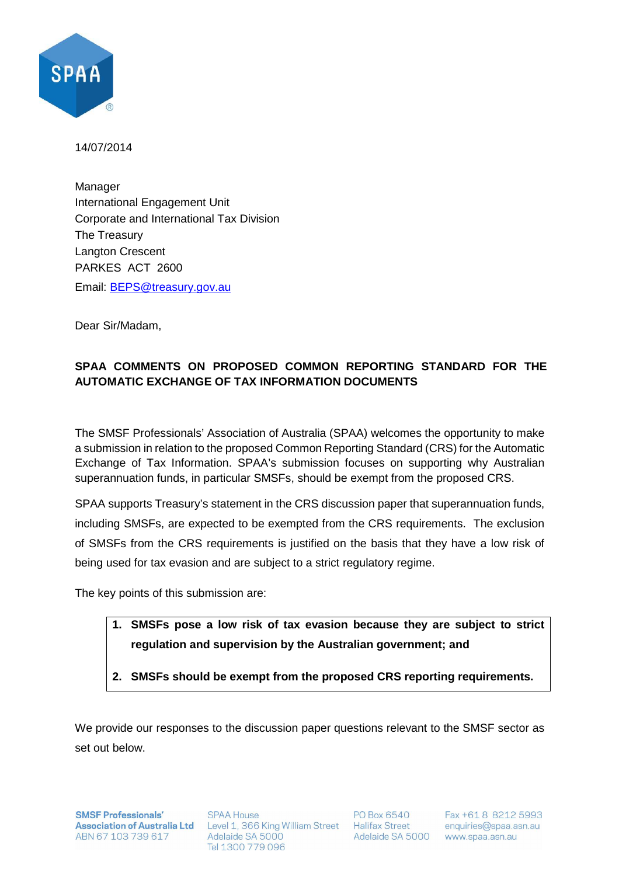

14/07/2014

Manager International Engagement Unit Corporate and International Tax Division The Treasury Langton Crescent PARKES ACT 2600 Email: BEPS@treasury.gov.au

Dear Sir/Madam,

## **SPAA COMMENTS ON PROPOSED COMMON REPORTING STANDARD FOR THE AUTOMATIC EXCHANGE OF TAX INFORMATION DOCUMENTS**

The SMSF Professionals' Association of Australia (SPAA) welcomes the opportunity to make a submission in relation to the proposed Common Reporting Standard (CRS) for the Automatic Exchange of Tax Information. SPAA's submission focuses on supporting why Australian superannuation funds, in particular SMSFs, should be exempt from the proposed CRS.

SPAA supports Treasury's statement in the CRS discussion paper that superannuation funds, including SMSFs, are expected to be exempted from the CRS requirements. The exclusion of SMSFs from the CRS requirements is justified on the basis that they have a low risk of being used for tax evasion and are subject to a strict regulatory regime.

The key points of this submission are:

- **1. SMSFs pose a low risk of tax evasion because they are subject to strict regulation and supervision by the Australian government; and**
- **2. SMSFs should be exempt from the proposed CRS reporting requirements.**

We provide our responses to the discussion paper questions relevant to the SMSF sector as set out below.

**SMSF Professionals'** ABN 67 103 739 617 Adelaide SA 5000

**SPAA House** Association of Australia Ltd Level 1, 366 King William Street Halifax Street Tel 1300 779 096

PO Box 6540 Adelaide SA 5000 www.spaa.asn.au

Fax +61 8 8212 5993 enquiries@spaa.asn.au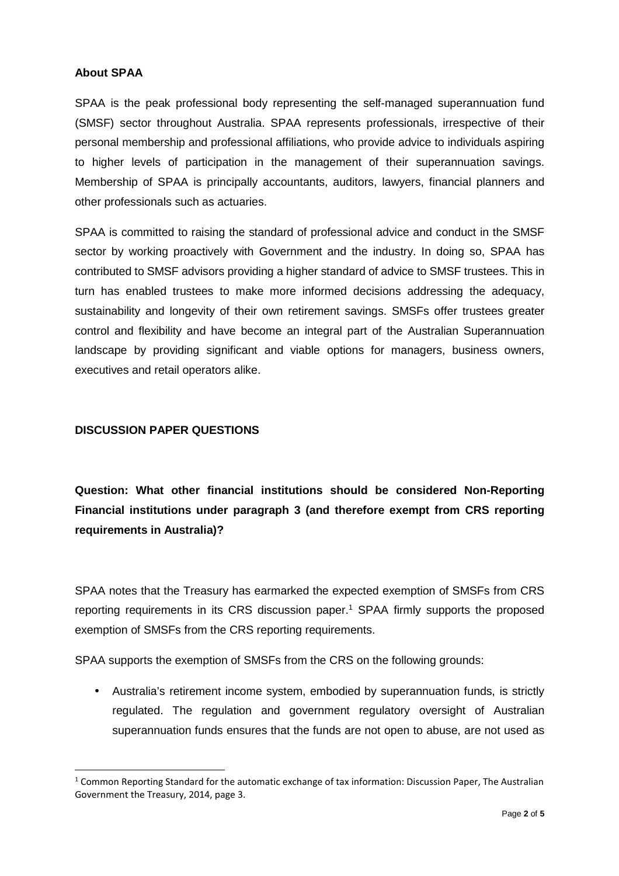#### **About SPAA**

SPAA is the peak professional body representing the self-managed superannuation fund (SMSF) sector throughout Australia. SPAA represents professionals, irrespective of their personal membership and professional affiliations, who provide advice to individuals aspiring to higher levels of participation in the management of their superannuation savings. Membership of SPAA is principally accountants, auditors, lawyers, financial planners and other professionals such as actuaries.

SPAA is committed to raising the standard of professional advice and conduct in the SMSF sector by working proactively with Government and the industry. In doing so, SPAA has contributed to SMSF advisors providing a higher standard of advice to SMSF trustees. This in turn has enabled trustees to make more informed decisions addressing the adequacy, sustainability and longevity of their own retirement savings. SMSFs offer trustees greater control and flexibility and have become an integral part of the Australian Superannuation landscape by providing significant and viable options for managers, business owners, executives and retail operators alike.

#### **DISCUSSION PAPER QUESTIONS**

 $\overline{\phantom{0}}$ 

**Question: What other financial institutions should be considered Non-Reporting Financial institutions under paragraph 3 (and therefore exempt from CRS reporting requirements in Australia)?** 

SPAA notes that the Treasury has earmarked the expected exemption of SMSFs from CRS reporting requirements in its CRS discussion paper.<sup>1</sup> SPAA firmly supports the proposed exemption of SMSFs from the CRS reporting requirements.

SPAA supports the exemption of SMSFs from the CRS on the following grounds:

• Australia's retirement income system, embodied by superannuation funds, is strictly regulated. The regulation and government regulatory oversight of Australian superannuation funds ensures that the funds are not open to abuse, are not used as

<sup>&</sup>lt;sup>1</sup> Common Reporting Standard for the automatic exchange of tax information: Discussion Paper, The Australian Government the Treasury, 2014, page 3.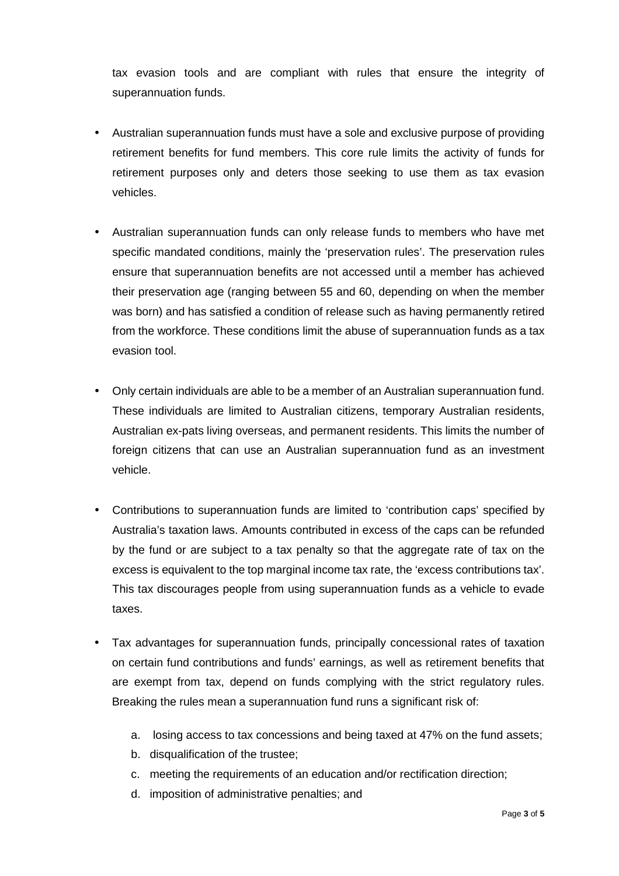tax evasion tools and are compliant with rules that ensure the integrity of superannuation funds.

- Australian superannuation funds must have a sole and exclusive purpose of providing retirement benefits for fund members. This core rule limits the activity of funds for retirement purposes only and deters those seeking to use them as tax evasion vehicles.
- Australian superannuation funds can only release funds to members who have met specific mandated conditions, mainly the 'preservation rules'. The preservation rules ensure that superannuation benefits are not accessed until a member has achieved their preservation age (ranging between 55 and 60, depending on when the member was born) and has satisfied a condition of release such as having permanently retired from the workforce. These conditions limit the abuse of superannuation funds as a tax evasion tool.
- Only certain individuals are able to be a member of an Australian superannuation fund. These individuals are limited to Australian citizens, temporary Australian residents, Australian ex-pats living overseas, and permanent residents. This limits the number of foreign citizens that can use an Australian superannuation fund as an investment vehicle.
- Contributions to superannuation funds are limited to 'contribution caps' specified by Australia's taxation laws. Amounts contributed in excess of the caps can be refunded by the fund or are subject to a tax penalty so that the aggregate rate of tax on the excess is equivalent to the top marginal income tax rate, the 'excess contributions tax'. This tax discourages people from using superannuation funds as a vehicle to evade taxes.
- Tax advantages for superannuation funds, principally concessional rates of taxation on certain fund contributions and funds' earnings, as well as retirement benefits that are exempt from tax, depend on funds complying with the strict regulatory rules. Breaking the rules mean a superannuation fund runs a significant risk of:
	- a. losing access to tax concessions and being taxed at 47% on the fund assets;
	- b. disqualification of the trustee;
	- c. meeting the requirements of an education and/or rectification direction;
	- d. imposition of administrative penalties; and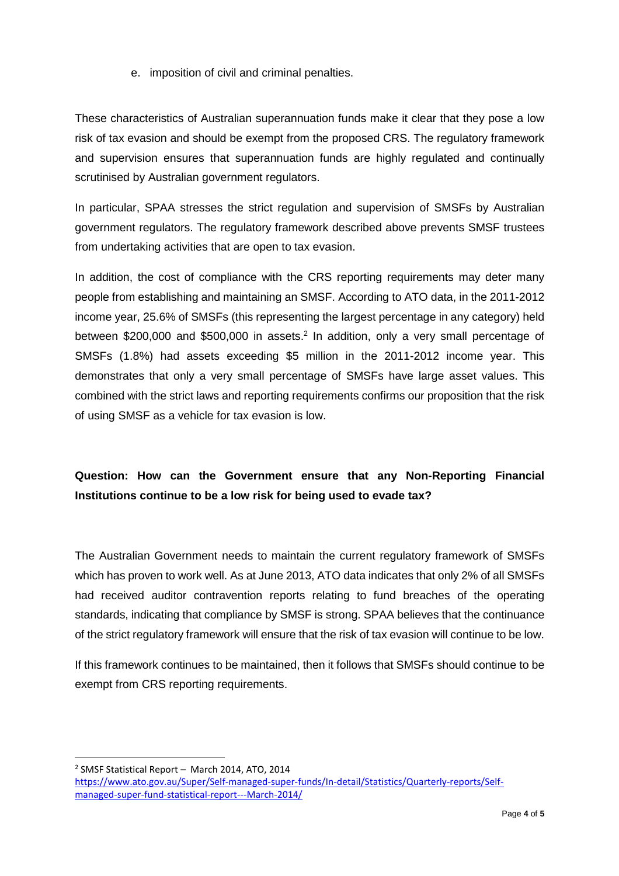### e. imposition of civil and criminal penalties.

These characteristics of Australian superannuation funds make it clear that they pose a low risk of tax evasion and should be exempt from the proposed CRS. The regulatory framework and supervision ensures that superannuation funds are highly regulated and continually scrutinised by Australian government regulators.

In particular, SPAA stresses the strict regulation and supervision of SMSFs by Australian government regulators. The regulatory framework described above prevents SMSF trustees from undertaking activities that are open to tax evasion.

In addition, the cost of compliance with the CRS reporting requirements may deter many people from establishing and maintaining an SMSF. According to ATO data, in the 2011-2012 income year, 25.6% of SMSFs (this representing the largest percentage in any category) held between \$200,000 and \$500,000 in assets.<sup>2</sup> In addition, only a very small percentage of SMSFs (1.8%) had assets exceeding \$5 million in the 2011-2012 income year. This demonstrates that only a very small percentage of SMSFs have large asset values. This combined with the strict laws and reporting requirements confirms our proposition that the risk of using SMSF as a vehicle for tax evasion is low.

# **Question: How can the Government ensure that any Non-Reporting Financial Institutions continue to be a low risk for being used to evade tax?**

The Australian Government needs to maintain the current regulatory framework of SMSFs which has proven to work well. As at June 2013, ATO data indicates that only 2% of all SMSFs had received auditor contravention reports relating to fund breaches of the operating standards, indicating that compliance by SMSF is strong. SPAA believes that the continuance of the strict regulatory framework will ensure that the risk of tax evasion will continue to be low.

If this framework continues to be maintained, then it follows that SMSFs should continue to be exempt from CRS reporting requirements.

<sup>2</sup> SMSF Statistical Report - March 2014, ATO, 2014 https://www.ato.gov.au/Super/Self-managed-super-funds/In-detail/Statistics/Quarterly-reports/Selfmanaged-super-fund-statistical-report---March-2014/

 $\overline{a}$